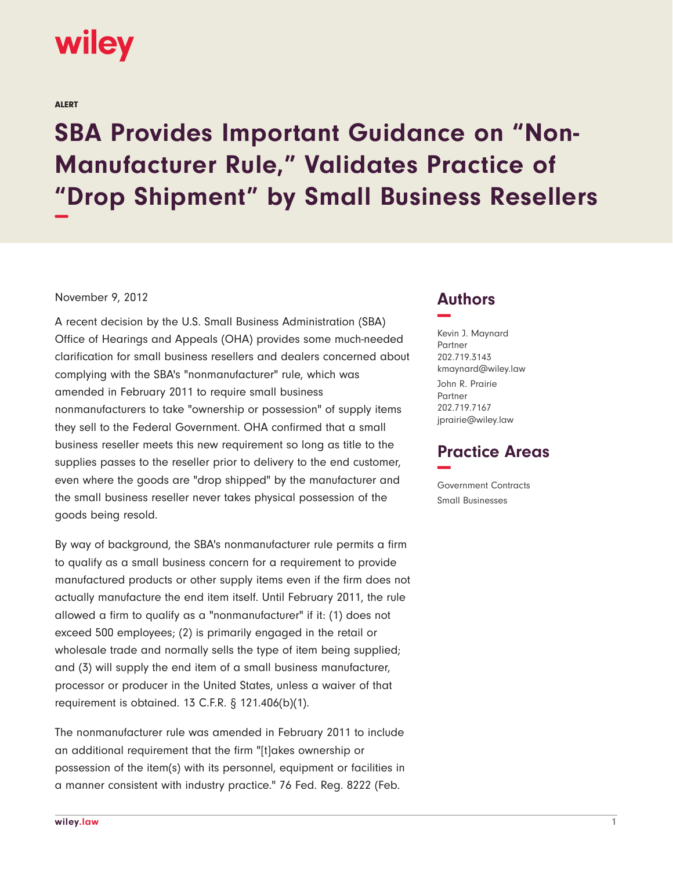

ALERT

## **SBA Provides Important Guidance on "Non-Manufacturer Rule," Validates Practice of "Drop Shipment" by Small Business Resellers −**

## November 9, 2012

A recent decision by the U.S. Small Business Administration (SBA) Office of Hearings and Appeals (OHA) provides some much-needed clarification for small business resellers and dealers concerned about complying with the SBA's "nonmanufacturer" rule, which was amended in February 2011 to require small business nonmanufacturers to take "ownership or possession" of supply items they sell to the Federal Government. OHA confirmed that a small business reseller meets this new requirement so long as title to the supplies passes to the reseller prior to delivery to the end customer, even where the goods are "drop shipped" by the manufacturer and the small business reseller never takes physical possession of the goods being resold.

By way of background, the SBA's nonmanufacturer rule permits a firm to qualify as a small business concern for a requirement to provide manufactured products or other supply items even if the firm does not actually manufacture the end item itself. Until February 2011, the rule allowed a firm to qualify as a "nonmanufacturer" if it: (1) does not exceed 500 employees; (2) is primarily engaged in the retail or wholesale trade and normally sells the type of item being supplied; and (3) will supply the end item of a small business manufacturer, processor or producer in the United States, unless a waiver of that requirement is obtained. 13 C.F.R. § 121.406(b)(1).

The nonmanufacturer rule was amended in February 2011 to include an additional requirement that the firm "[t]akes ownership or possession of the item(s) with its personnel, equipment or facilities in a manner consistent with industry practice." 76 Fed. Reg. 8222 (Feb.

## **Authors −**

Kevin J. Maynard Partner 202.719.3143 kmaynard@wiley.law John R. Prairie Partner 202.719.7167 jprairie@wiley.law

## **Practice Areas −**

Government Contracts Small Businesses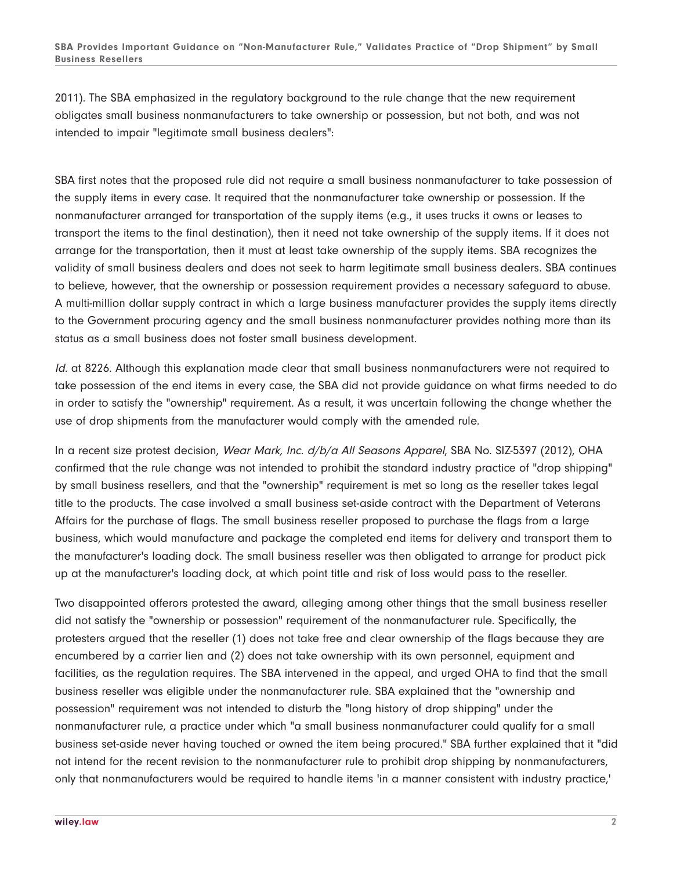2011). The SBA emphasized in the regulatory background to the rule change that the new requirement obligates small business nonmanufacturers to take ownership or possession, but not both, and was not intended to impair "legitimate small business dealers":

SBA first notes that the proposed rule did not require a small business nonmanufacturer to take possession of the supply items in every case. It required that the nonmanufacturer take ownership or possession. If the nonmanufacturer arranged for transportation of the supply items (e.g., it uses trucks it owns or leases to transport the items to the final destination), then it need not take ownership of the supply items. If it does not arrange for the transportation, then it must at least take ownership of the supply items. SBA recognizes the validity of small business dealers and does not seek to harm legitimate small business dealers. SBA continues to believe, however, that the ownership or possession requirement provides a necessary safeguard to abuse. A multi-million dollar supply contract in which a large business manufacturer provides the supply items directly to the Government procuring agency and the small business nonmanufacturer provides nothing more than its status as a small business does not foster small business development.

Id. at 8226. Although this explanation made clear that small business nonmanufacturers were not required to take possession of the end items in every case, the SBA did not provide guidance on what firms needed to do in order to satisfy the "ownership" requirement. As a result, it was uncertain following the change whether the use of drop shipments from the manufacturer would comply with the amended rule.

In a recent size protest decision, Wear Mark, Inc. d/b/a All Seasons Apparel, SBA No. SIZ-5397 (2012), OHA confirmed that the rule change was not intended to prohibit the standard industry practice of "drop shipping" by small business resellers, and that the "ownership" requirement is met so long as the reseller takes legal title to the products. The case involved a small business set-aside contract with the Department of Veterans Affairs for the purchase of flags. The small business reseller proposed to purchase the flags from a large business, which would manufacture and package the completed end items for delivery and transport them to the manufacturer's loading dock. The small business reseller was then obligated to arrange for product pick up at the manufacturer's loading dock, at which point title and risk of loss would pass to the reseller.

Two disappointed offerors protested the award, alleging among other things that the small business reseller did not satisfy the "ownership or possession" requirement of the nonmanufacturer rule. Specifically, the protesters argued that the reseller (1) does not take free and clear ownership of the flags because they are encumbered by a carrier lien and (2) does not take ownership with its own personnel, equipment and facilities, as the regulation requires. The SBA intervened in the appeal, and urged OHA to find that the small business reseller was eligible under the nonmanufacturer rule. SBA explained that the "ownership and possession" requirement was not intended to disturb the "long history of drop shipping" under the nonmanufacturer rule, a practice under which "a small business nonmanufacturer could qualify for a small business set-aside never having touched or owned the item being procured." SBA further explained that it "did not intend for the recent revision to the nonmanufacturer rule to prohibit drop shipping by nonmanufacturers, only that nonmanufacturers would be required to handle items 'in a manner consistent with industry practice,'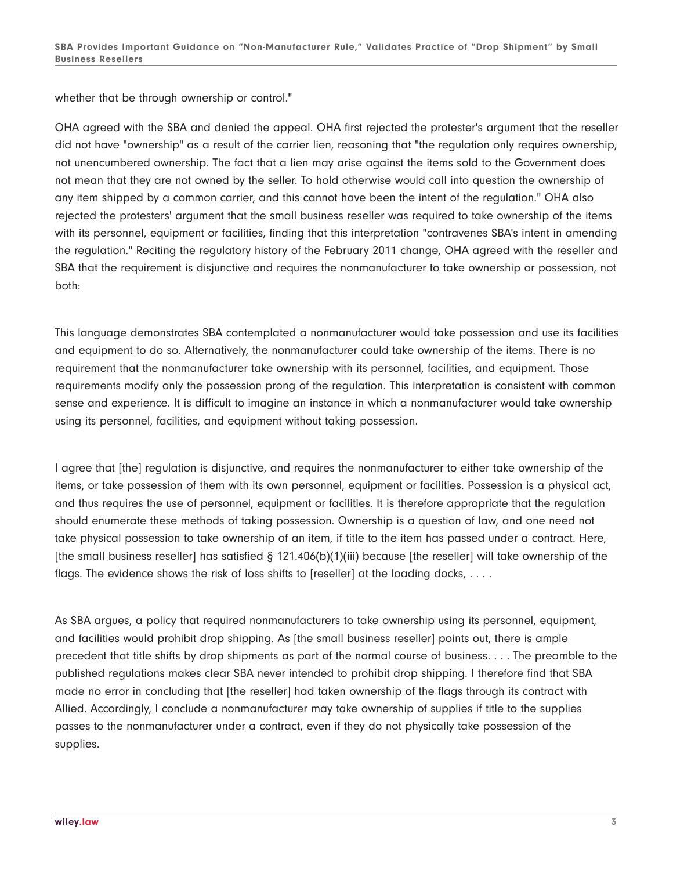whether that be through ownership or control."

OHA agreed with the SBA and denied the appeal. OHA first rejected the protester's argument that the reseller did not have "ownership" as a result of the carrier lien, reasoning that "the regulation only requires ownership, not unencumbered ownership. The fact that a lien may arise against the items sold to the Government does not mean that they are not owned by the seller. To hold otherwise would call into question the ownership of any item shipped by a common carrier, and this cannot have been the intent of the regulation." OHA also rejected the protesters' argument that the small business reseller was required to take ownership of the items with its personnel, equipment or facilities, finding that this interpretation "contravenes SBA's intent in amending the regulation." Reciting the regulatory history of the February 2011 change, OHA agreed with the reseller and SBA that the requirement is disjunctive and requires the nonmanufacturer to take ownership or possession, not both:

This language demonstrates SBA contemplated a nonmanufacturer would take possession and use its facilities and equipment to do so. Alternatively, the nonmanufacturer could take ownership of the items. There is no requirement that the nonmanufacturer take ownership with its personnel, facilities, and equipment. Those requirements modify only the possession prong of the regulation. This interpretation is consistent with common sense and experience. It is difficult to imagine an instance in which a nonmanufacturer would take ownership using its personnel, facilities, and equipment without taking possession.

I agree that [the] regulation is disjunctive, and requires the nonmanufacturer to either take ownership of the items, or take possession of them with its own personnel, equipment or facilities. Possession is a physical act, and thus requires the use of personnel, equipment or facilities. It is therefore appropriate that the regulation should enumerate these methods of taking possession. Ownership is a question of law, and one need not take physical possession to take ownership of an item, if title to the item has passed under a contract. Here, [the small business reseller] has satisfied § 121.406(b)(1)(iii) because [the reseller] will take ownership of the flags. The evidence shows the risk of loss shifts to [reseller] at the loading docks, ....

As SBA argues, a policy that required nonmanufacturers to take ownership using its personnel, equipment, and facilities would prohibit drop shipping. As [the small business reseller] points out, there is ample precedent that title shifts by drop shipments as part of the normal course of business. . . . The preamble to the published regulations makes clear SBA never intended to prohibit drop shipping. I therefore find that SBA made no error in concluding that [the reseller] had taken ownership of the flags through its contract with Allied. Accordingly, I conclude a nonmanufacturer may take ownership of supplies if title to the supplies passes to the nonmanufacturer under a contract, even if they do not physically take possession of the supplies.